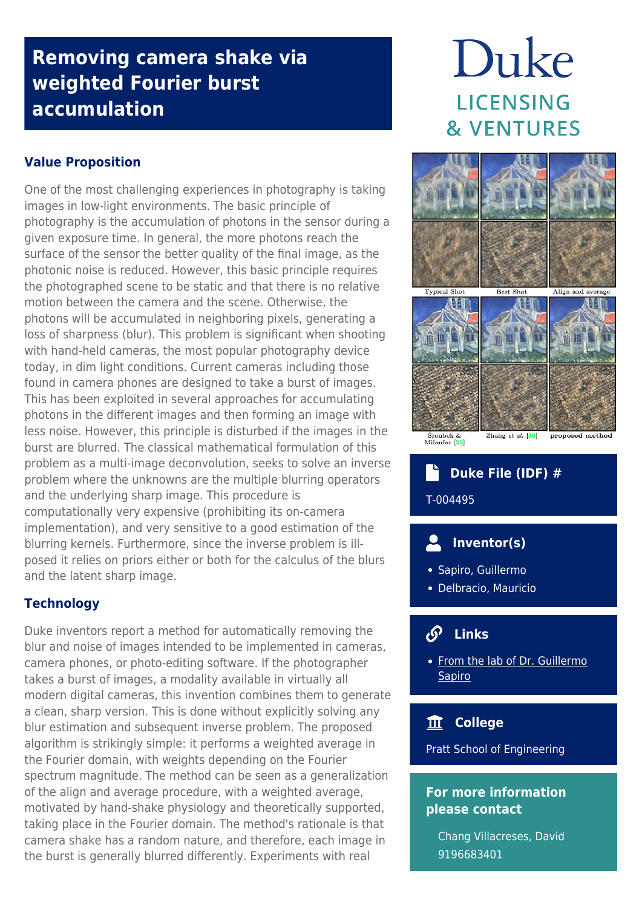# **Removing camera shake via weighted Fourier burst accumulation**

# **Value Proposition**

One of the most challenging experiences in photography is taking images in low-light environments. The basic principle of photography is the accumulation of photons in the sensor during a given exposure time. In general, the more photons reach the surface of the sensor the better quality of the final image, as the photonic noise is reduced. However, this basic principle requires the photographed scene to be static and that there is no relative motion between the camera and the scene. Otherwise, the photons will be accumulated in neighboring pixels, generating a loss of sharpness (blur). This problem is significant when shooting with hand-held cameras, the most popular photography device today, in dim light conditions. Current cameras including those found in camera phones are designed to take a burst of images. This has been exploited in several approaches for accumulating photons in the different images and then forming an image with less noise. However, this principle is disturbed if the images in the burst are blurred. The classical mathematical formulation of this problem as a multi-image deconvolution, seeks to solve an inverse problem where the unknowns are the multiple blurring operators and the underlying sharp image. This procedure is computationally very expensive (prohibiting its on-camera implementation), and very sensitive to a good estimation of the blurring kernels. Furthermore, since the inverse problem is illposed it relies on priors either or both for the calculus of the blurs and the latent sharp image.

# **Technology**

Duke inventors report a method for automatically removing the blur and noise of images intended to be implemented in cameras, camera phones, or photo-editing software. If the photographer takes a burst of images, a modality available in virtually all modern digital cameras, this invention combines them to generate a clean, sharp version. This is done without explicitly solving any blur estimation and subsequent inverse problem. The proposed algorithm is strikingly simple: it performs a weighted average in the Fourier domain, with weights depending on the Fourier spectrum magnitude. The method can be seen as a generalization of the align and average procedure, with a weighted average, motivated by hand-shake physiology and theoretically supported, taking place in the Fourier domain. The method's rationale is that camera shake has a random nature, and therefore, each image in the burst is generally blurred differently. Experiments with real

# Duke **LICENSING & VENTURES**



# **Duke File (IDF) #**

T-004495

# **Inventor(s)**

- Sapiro, Guillermo
- Delbracio, Mauricio

#### **Links**  $\mathcal{S}$

[From the lab of Dr. Guillermo](http://sapirolab.pratt.duke.edu/) **[Sapiro](http://sapirolab.pratt.duke.edu/)** 

# **College**

Pratt School of Engineering

### **For more information please contact**

Chang Villacreses, David 9196683401